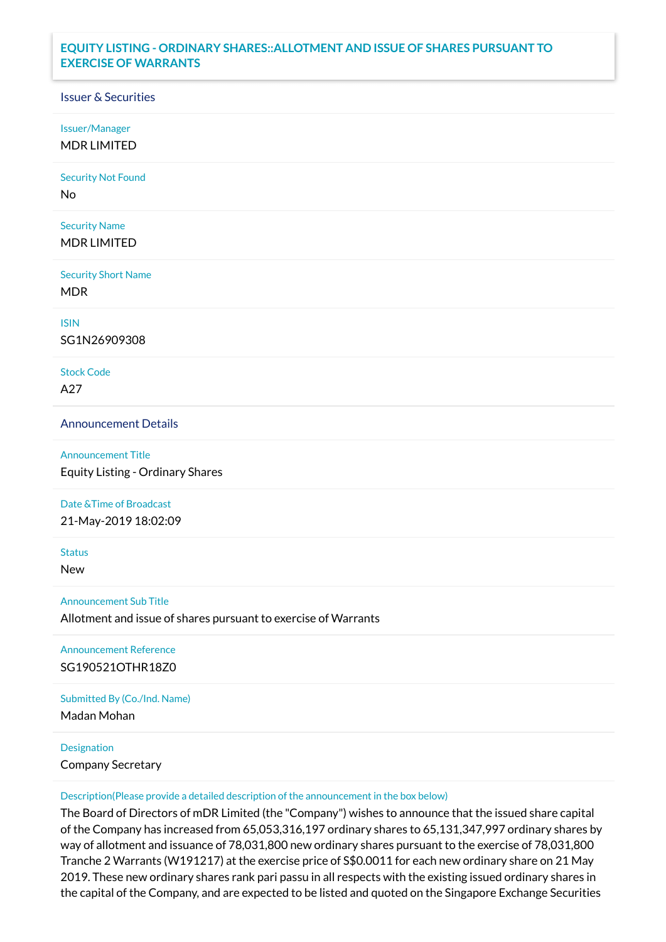# **EQUITY LISTING - ORDINARY SHARES::ALLOTMENT AND ISSUE OF SHARES PURSUANT TO EXERCISE OF WARRANTS**

## Issuer & Securities

Issuer/Manager

MDR LIMITED

Security Not Found

No

Security Name MDR LIMITED

Security Short Name MDR

ISIN

SG1N26909308

Stock Code A27

Announcement Details

Announcement Title Equity Listing - Ordinary Shares

### Date &Time of Broadcast

21-May-2019 18:02:09

**Status** 

New

Announcement Sub Title

Allotment and issue of shares pursuant to exercise of Warrants

Announcement Reference SG190521OTHR18Z0

Submitted By (Co./Ind. Name)

Madan Mohan

### **Designation**

Company Secretary

#### Description(Please provide a detailed description of the announcement in the box below)

The Board of Directors of mDR Limited (the "Company") wishes to announce that the issued share capital of the Company has increased from 65,053,316,197 ordinary shares to 65,131,347,997 ordinary shares by way of allotment and issuance of 78,031,800 new ordinary shares pursuant to the exercise of 78,031,800 Tranche 2 Warrants (W191217) at the exercise price of S\$0.0011 for each new ordinary share on 21 May 2019. These new ordinary shares rank pari passu in all respects with the existing issued ordinary shares in the capital of the Company, and are expected to be listed and quoted on the Singapore Exchange Securities